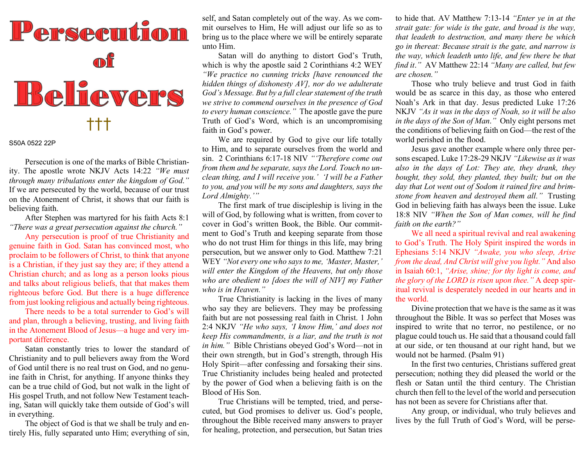

Persecution is one of the marks of Bible Christianity. The apostle wrote NKJV Acts 14:22 "We must through many tribulations enter the kingdom of God." If we are persecuted by the world, because of our trust on the Atonement of Christ, it shows that our faith is believing faith.

 After Stephen was martyred for his faith Acts 8:1 "There was a great persecution against the church."

Any persecution is proof of true Christianity and genuine faith in God. Satan has convinced most, who proclaim to be followers of Christ, to think that anyone is a Christian, if they just say they are; if they attend a Christian church; and as long as a person looks pious and talks about religious beliefs, that that makes them righteous before God. But there is a huge difference from just looking religious and actually being righteous.

 There needs to be a total surrender to God's will and plan, through a believing, trusting, and living faith in the Atonement Blood of Jesus—a huge and very important difference.

 Satan constantly tries to lower the standard of Christianity and to pull believers away from the Word of God until there is no real trust on God, and no genuine faith in Christ, for anything. If anyone thinks they can be a true child of God, but not walk in the light of His gospel Truth, and not follow New Testament teaching, Satan will quickly take them outside of God's will in everything.

 The object of God is that we shall be truly and entirely His, fully separated unto Him; everything of sin, self, and Satan completely out of the way. As we commit ourselves to Him, He will adjust our life so as to bring us to the place where we will be entirely separate unto Him.

 Satan will do anything to distort God's Truth, which is why the apostle said 2 Corinthians 4:2 WEY "We practice no cunning tricks [have renounced the hidden things of dishonesty AV], nor do we adulterate God's Message. But by a full clear statement of the truth we strive to commend ourselves in the presence of God to every human conscience." The apostle gave the pure Truth of God's Word, which is an uncompromising faith in God's power.

 We are required by God to give our life totally to Him, and to separate ourselves from the world and sin. 2 Corinthians 6:17-18 NIV "Therefore come out from them and be separate, says the Lord. Touch no unclean thing, and I will receive you.' 'I will be a Father to you, and you will be my sons and daughters, says the Lord Almighty.'"

 The first mark of true discipleship is living in the will of God, by following what is written, from cover to cover in God's written Book, the Bible. Our commitment to God's Truth and keeping separate from those who do not trust Him for things in this life, may bring persecution, but we answer only to God. Matthew 7:21 WEY "Not every one who says to me, 'Master, Master,' will enter the Kingdom of the Heavens, but only those who are obedient to [does the will of NIV] my Father who is in Heaven."

 True Christianity is lacking in the lives of many who say they are believers. They may be professing faith but are not possessing real faith in Christ. 1 John 2:4 NKJV "He who says, 'I know Him,' and does not keep His commandments, is a liar, and the truth is not in him." Bible Christians obeyed God's Word—not in their own strength, but in God's strength, through His Holy Spirit—after confessing and forsaking their sins. True Christianity includes being healed and protected by the power of God when a believing faith is on the Blood of His Son.

 True Christians will be tempted, tried, and persecuted, but God promises to deliver us. God's people, throughout the Bible received many answers to prayer for healing, protection, and persecution, but Satan tries

to hide that. AV Matthew 7:13-14 "Enter ye in at the strait gate: for wide is the gate, and broad is the way, that leadeth to destruction, and many there be which go in thereat: Because strait is the gate, and narrow is the way, which leadeth unto life, and few there be that find it." AV Matthew 22:14 "Many are called, but few are chosen."

 Those who truly believe and trust God in faith would be as scarce in this day, as those who entered Noah's Ark in that day. Jesus predicted Luke 17:26 NKJV "As it was in the days of Noah, so it will be also in the days of the Son of Man." Only eight persons met the conditions of believing faith on God—the rest of the world perished in the flood.

 Jesus gave another example where only three persons escaped. Luke 17:28-29 NKJV "Likewise as it was also in the days of Lot: They ate, they drank, they bought, they sold, they planted, they built; but on the day that Lot went out of Sodom it rained fire and brimstone from heaven and destroyed them all." Trusting God in believing faith has always been the issue. Luke 18:8 NIV "When the Son of Man comes, will he find faith on the earth?"

We all need a spiritual revival and real awakening to God's Truth. The Holy Spirit inspired the words in Ephesians 5:14 NKJV "Awake, you who sleep, Arise from the dead, And Christ will give you light." And also in Isaiah 60:1, "Arise, shine; for thy light is come, and the glory of the LORD is risen upon thee." A deep spiritual revival is desperately needed in our hearts and in the world.

 Divine protection that we have is the same as it was throughout the Bible. It was so perfect that Moses was inspired to write that no terror, no pestilence, or no plague could touch us. He said that a thousand could fall at our side, or ten thousand at our right hand, but we would not be harmed. (Psalm 91)

 In the first two centuries, Christians suffered great persecution; nothing they did pleased the world or the flesh or Satan until the third century. The Christian church then fell to the level of the world and persecution has not been as severe for Christians after that.

 Any group, or individual, who truly believes and lives by the full Truth of God's Word, will be perse